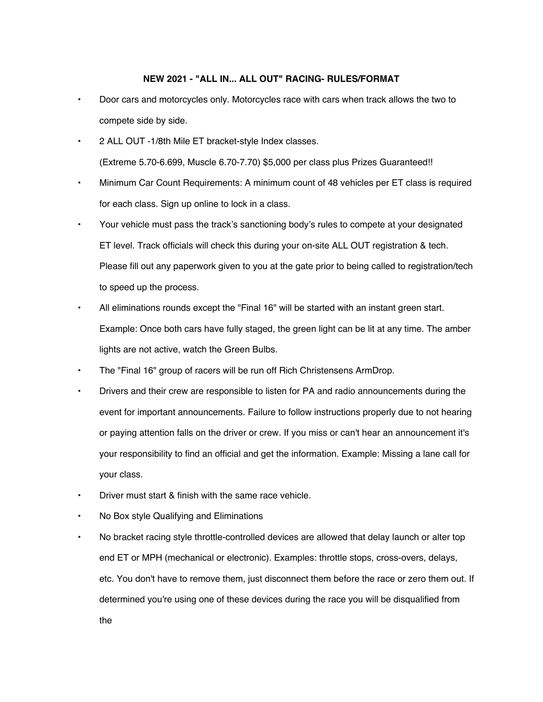### **NEW 2021 - "ALL IN... ALL OUT" RACING- RULES/FORMAT**

- Door cars and motorcycles only. Motorcycles race with cars when track allows the two to compete side by side.
- 2 ALL OUT -1/8th Mile ET bracket-style Index classes. (Extreme 5.70-6.699, Muscle 6.70-7.70) \$5,000 per class plus Prizes Guaranteed!!
- Minimum Car Count Requirements: A minimum count of 48 vehicles per ET class is required for each class. Sign up online to lock in a class.
- Your vehicle must pass the track's sanctioning body's rules to compete at your designated ET level. Track officials will check this during your on-site ALL OUT registration & tech. Please fill out any paperwork given to you at the gate prior to being called to registration/tech to speed up the process.
- All eliminations rounds except the "Final 16" will be started with an instant green start. Example: Once both cars have fully staged, the green light can be lit at any time. The amber lights are not active, watch the Green Bulbs.
- The "Final 16" group of racers will be run off Rich Christensens ArmDrop.
- Drivers and their crew are responsible to listen for PA and radio announcements during the event for important announcements. Failure to follow instructions properly due to not hearing or paying attention falls on the driver or crew. If you miss or can't hear an announcement it's your responsibility to find an official and get the information. Example: Missing a lane call for your class.
- Driver must start & finish with the same race vehicle.
- No Box style Qualifying and Eliminations
- No bracket racing style throttle-controlled devices are allowed that delay launch or alter top end ET or MPH (mechanical or electronic). Examples: throttle stops, cross-overs, delays, etc. You don't have to remove them, just disconnect them before the race or zero them out. If determined you're using one of these devices during the race you will be disqualified from the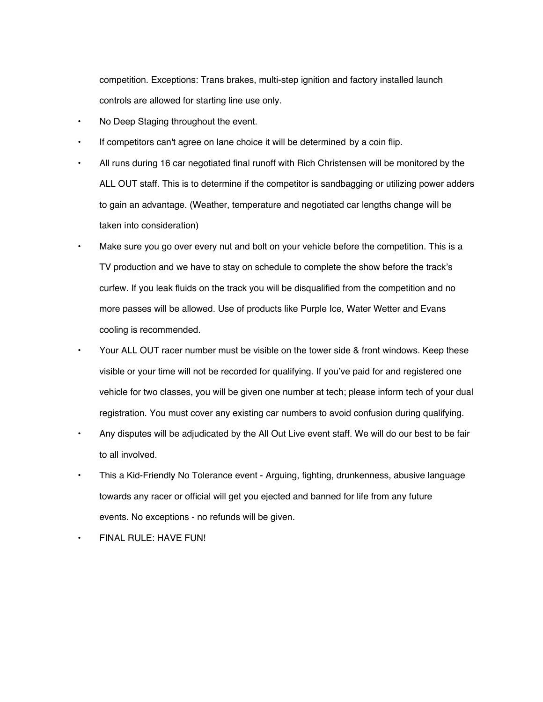competition. Exceptions: Trans brakes, multi-step ignition and factory installed launch controls are allowed for starting line use only.

- No Deep Staging throughout the event.
- If competitors can't agree on lane choice it will be determined by a coin flip.
- All runs during 16 car negotiated final runoff with Rich Christensen will be monitored by the ALL OUT staff. This is to determine if the competitor is sandbagging or utilizing power adders to gain an advantage. (Weather, temperature and negotiated car lengths change will be taken into consideration)
- Make sure you go over every nut and bolt on your vehicle before the competition. This is a TV production and we have to stay on schedule to complete the show before the track's curfew. If you leak fluids on the track you will be disqualified from the competition and no more passes will be allowed. Use of products like Purple Ice, Water Wetter and Evans cooling is recommended.
- Your ALL OUT racer number must be visible on the tower side & front windows. Keep these visible or your time will not be recorded for qualifying. If you've paid for and registered one vehicle for two classes, you will be given one number at tech; please inform tech of your dual registration. You must cover any existing car numbers to avoid confusion during qualifying.
- Any disputes will be adjudicated by the All Out Live event staff. We will do our best to be fair to all involved.
- This a Kid-Friendly No Tolerance event Arguing, fighting, drunkenness, abusive language towards any racer or official will get you ejected and banned for life from any future events. No exceptions - no refunds will be given.
- FINAL RULE: HAVE FUN!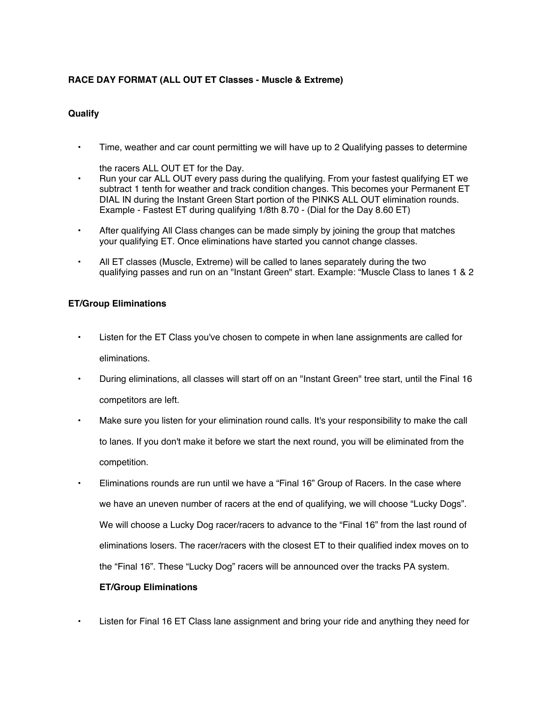# **RACE DAY FORMAT (ALL OUT ET Classes - Muscle & Extreme)**

## **Qualify**

• Time, weather and car count permitting we will have up to 2 Qualifying passes to determine

the racers ALL OUT ET for the Day.

- Run your car ALL OUT every pass during the qualifying. From your fastest qualifying ET we subtract 1 tenth for weather and track condition changes. This becomes your Permanent ET DIAL IN during the Instant Green Start portion of the PINKS ALL OUT elimination rounds. Example - Fastest ET during qualifying 1/8th 8.70 - (Dial for the Day 8.60 ET)
- After qualifying All Class changes can be made simply by joining the group that matches your qualifying ET. Once eliminations have started you cannot change classes.
- All ET classes (Muscle, Extreme) will be called to lanes separately during the two qualifying passes and run on an "Instant Green" start. Example: "Muscle Class to lanes 1 & 2

## **ET/Group Eliminations**

- Listen for the ET Class you've chosen to compete in when lane assignments are called for eliminations.
- During eliminations, all classes will start off on an "Instant Green" tree start, until the Final 16 competitors are left.
- Make sure you listen for your elimination round calls. It's your responsibility to make the call to lanes. If you don't make it before we start the next round, you will be eliminated from the competition.
- Eliminations rounds are run until we have a "Final 16" Group of Racers. In the case where we have an uneven number of racers at the end of qualifying, we will choose "Lucky Dogs". We will choose a Lucky Dog racer/racers to advance to the "Final 16" from the last round of eliminations losers. The racer/racers with the closest ET to their qualified index moves on to the "Final 16". These "Lucky Dog" racers will be announced over the tracks PA system.

### **ET/Group Eliminations**

• Listen for Final 16 ET Class lane assignment and bring your ride and anything they need for